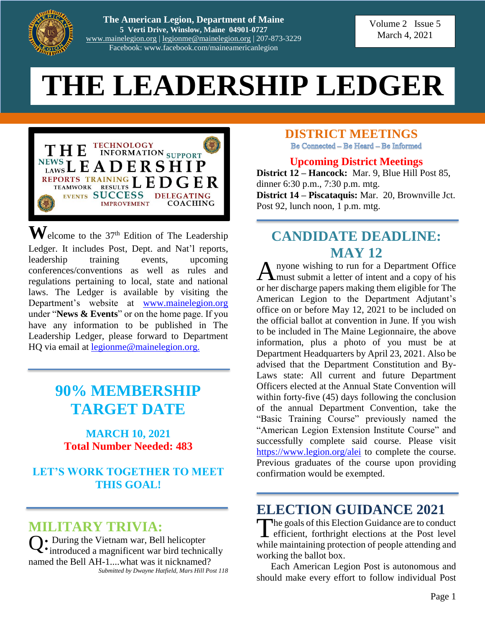

**The American Legion, Department of Maine 5 Verti Drive, Winslow, Maine 04901-0727** [www.mainelegion.org](http://www.mainelegion.org/) | [legionme@mainelegion.org](mailto:legionme@mainelegion.org) | 207-873-3229 Facebook: www.facebook.com/maineamericanlegion

Volume 2 Issue 5 March 4, 2021

#### RIP LEDGEK I ONLINE TODAY! **THE LEADERSHIP LEDGER**



 $\mathbf{W}$ elcome to the 37<sup>th</sup> Edition of The Leadership Ledger. It includes Post, Dept. and Nat'l reports, leadership training events, upcoming conferences/conventions as well as rules and regulations pertaining to local, state and national laws. The Ledger is available by visiting the Department's website at [www.mainelegion.org](http://www.mainelegion.org/) under "**News & Events**" or on the home page. If you have any information to be published in The Leadership Ledger, please forward to Department HQ via email at [legionme@mainelegion.org.](mailto:legionme@mainelegion.org)

## **90% MEMBERSHIP TARGET DATE**

#### **MARCH 10, 2021 Total Number Needed: 483**

#### **LET'S WORK TOGETHER TO MEET THIS GOAL!**

## **MILITARY TRIVIA:**

Q: During the Vietnam war, Bell helicopter<br>
introduced a magnificent war bird technic  $\mathbf{\mathcal{L}}^{\bullet}$  introduced a magnificent war bird technically named the Bell AH-1....what was it nicknamed? *Submitted by Dwayne Hatfield, Mars Hill Post 118*

# **DISTRICT MEETINGS**<br>Be Connected – Be Heard – Be Informed

#### **Upcoming District Meetings**

**District 12 – Hancock:** Mar. 9, Blue Hill Post 85, dinner 6:30 p.m., 7:30 p.m. mtg. **District 14 – Piscataquis:** Mar. 20, Brownville Jct. Post 92, lunch noon, 1 p.m. mtg.

### **CANDIDATE DEADLINE: MAY 12**

nyone wishing to run for a Department Office A nyone wishing to run for a Department Office<br>
must submit a letter of intent and a copy of his or her discharge papers making them eligible for The American Legion to the Department Adjutant's office on or before May 12, 2021 to be included on the official ballot at convention in June. If you wish to be included in The Maine Legionnaire, the above information, plus a photo of you must be at Department Headquarters by April 23, 2021. Also be advised that the Department Constitution and By-Laws state: All current and future Department Officers elected at the Annual State Convention will within forty-five (45) days following the conclusion of the annual Department Convention, take the "Basic Training Course" previously named the "American Legion Extension Institute Course" and successfully complete said course. Please visit <https://www.legion.org/alei> to complete the course. Previous graduates of the course upon providing confirmation would be exempted.

## **ELECTION GUIDANCE 2021**

The goals of this Election Guidance are to conduct<br>efficient, forthright elections at the Post level efficient, forthright elections at the Post level while maintaining protection of people attending and working the ballot box.

Each American Legion Post is autonomous and should make every effort to follow individual Post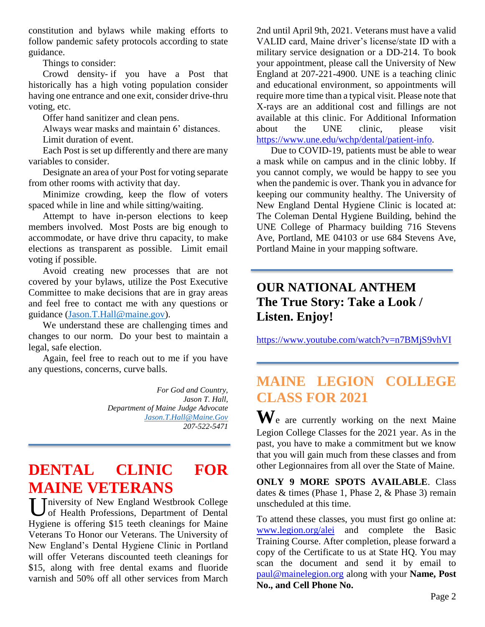constitution and bylaws while making efforts to follow pandemic safety protocols according to state guidance.

Things to consider:

Crowd density- if you have a Post that historically has a high voting population consider having one entrance and one exit, consider drive-thru voting, etc.

Offer hand sanitizer and clean pens.

Always wear masks and maintain 6' distances.

Limit duration of event.

Each Post is set up differently and there are many variables to consider.

Designate an area of your Post for voting separate from other rooms with activity that day.

Minimize crowding, keep the flow of voters spaced while in line and while sitting/waiting.

Attempt to have in-person elections to keep members involved. Most Posts are big enough to accommodate, or have drive thru capacity, to make elections as transparent as possible. Limit email voting if possible.

Avoid creating new processes that are not covered by your bylaws, utilize the Post Executive Committee to make decisions that are in gray areas and feel free to contact me with any questions or guidance [\(Jason.T.Hall@maine.gov\)](mailto:Jason.T.Hall@maine.gov).

We understand these are challenging times and changes to our norm. Do your best to maintain a legal, safe election.

Again, feel free to reach out to me if you have any questions, concerns, curve balls.

> *For God and Country, Jason T. Hall, Department of Maine Judge Advocate [Jason.T.Hall@Maine.Gov](mailto:Jason.T.Hall@Maine.Gov) 207-522-5471*

## **DENTAL CLINIC FOR MAINE VETERANS**

University of New England Westbrook College<br>
of Health Professions, Department of Dental of Health Professions, Department of Dental Hygiene is offering \$15 teeth cleanings for Maine Veterans To Honor our Veterans. The University of New England's Dental Hygiene Clinic in Portland will offer Veterans discounted teeth cleanings for \$15, along with free dental exams and fluoride varnish and 50% off all other services from March

2nd until April 9th, 2021. Veterans must have a valid VALID card, Maine driver's license/state ID with a military service designation or a DD-214. To book your appointment, please call the University of New England at 207-221-4900. UNE is a teaching clinic and educational environment, so appointments will require more time than a typical visit. Please note that X-rays are an additional cost and fillings are not available at this clinic. For Additional Information about the UNE clinic, please visit [https://www.une.edu/wchp/dental/patient-info.](https://www.une.edu/wchp/dental/patient-info)

Due to COVID-19, patients must be able to wear a mask while on campus and in the clinic lobby. If you cannot comply, we would be happy to see you when the pandemic is over. Thank you in advance for keeping our community healthy. The University of New England Dental Hygiene Clinic is located at: The Coleman Dental Hygiene Building, behind the UNE College of Pharmacy building 716 Stevens Ave, Portland, ME 04103 or use 684 Stevens Ave, Portland Maine in your mapping software.

### **OUR NATIONAL ANTHEM The True Story: Take a Look / Listen. Enjoy!**

<https://www.youtube.com/watch?v=n7BMjS9vhVI>

## **MAINE LEGION COLLEGE CLASS FOR 2021**

**W**e are currently working on the next Maine Legion College Classes for the 2021 year. As in the past, you have to make a commitment but we know that you will gain much from these classes and from other Legionnaires from all over the State of Maine.

**ONLY 9 MORE SPOTS AVAILABLE**. Class dates & times (Phase 1, Phase 2, & Phase 3) remain unscheduled at this time.

To attend these classes, you must first go online at: [www.legion.org/alei](http://www.legion.org/alei) and complete the Basic Training Course. After completion, please forward a copy of the Certificate to us at State HQ. You may scan the document and send it by email to [paul@mainelegion.org](mailto:paul@mainelegion.org) along with your **Name, Post No., and Cell Phone No.**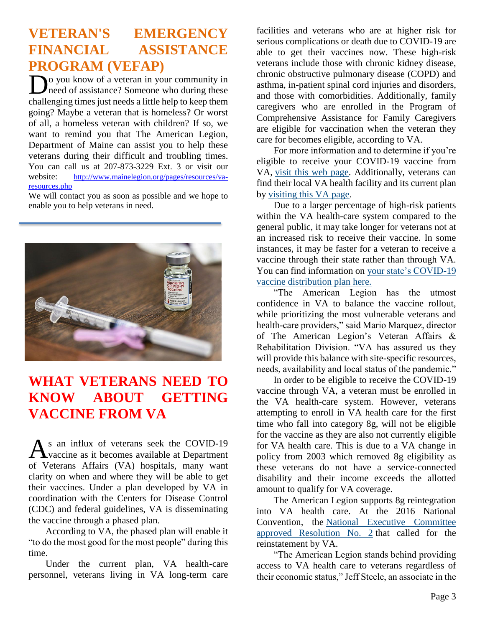## **VETERAN'S EMERGENCY FINANCIAL ASSISTANCE PROGRAM (VEFAP)**

**D**<sup>o</sup> you know of a veteran in your community in need of assistance? Someone who during these need of assistance? Someone who during these challenging times just needs a little help to keep them going? Maybe a veteran that is homeless? Or worst of all, a homeless veteran with children? If so, we want to remind you that The American Legion, Department of Maine can assist you to help these veterans during their difficult and troubling times. You can call us at 207-873-3229 Ext. 3 or visit our website: http://www.mainelegion.org/pages/resources/varesources.php

We will contact you as soon as possible and we hope to enable you to help veterans in need.



## **WHAT VETERANS NEED TO KNOW ABOUT GETTING VACCINE FROM VA**

s an influx of veterans seek the COVID-19 As an influx of veterans seek the COVID-19<br>
vaccine as it becomes available at Department of Veterans Affairs (VA) hospitals, many want clarity on when and where they will be able to get their vaccines. Under a plan developed by VA in coordination with the Centers for Disease Control (CDC) and federal guidelines, VA is disseminating the vaccine through a phased plan.

According to VA, the phased plan will enable it "to do the most good for the most people" during this time.

Under the current plan, VA health-care personnel, veterans living in VA long-term care

facilities and veterans who are at higher risk for serious complications or death due to COVID-19 are able to get their vaccines now. These high-risk veterans include those with chronic kidney disease, chronic obstructive pulmonary disease (COPD) and asthma, in-patient spinal cord injuries and disorders, and those with comorbidities. Additionally, family caregivers who are enrolled in the Program of Comprehensive Assistance for Family Caregivers are eligible for vaccination when the veteran they care for becomes eligible, according to VA.

For more information and to determine if you're eligible to receive your COVID-19 vaccine from VA, [visit this web page.](https://www.va.gov/health-care/covid-19-vaccine/) Additionally, veterans can find their local VA health facility and its current plan by [visiting this VA page.](https://www.va.gov/find-locations)

Due to a larger percentage of high-risk patients within the VA health-care system compared to the general public, it may take longer for veterans not at an increased risk to receive their vaccine. In some instances, it may be faster for a veteran to receive a vaccine through their state rather than through VA. You can find information on [your state's COVID-19](https://www.cdc.gov/vaccines/covid-19)  [vaccine distribution plan here.](https://www.cdc.gov/vaccines/covid-19)

"The American Legion has the utmost confidence in VA to balance the vaccine rollout, while prioritizing the most vulnerable veterans and health-care providers," said Mario Marquez, director of The American Legion's Veteran Affairs & Rehabilitation Division. "VA has assured us they will provide this balance with site-specific resources, needs, availability and local status of the pandemic."

In order to be eligible to receive the COVID-19 vaccine through VA, a veteran must be enrolled in the VA health-care system. However, veterans attempting to enroll in VA health care for the first time who fall into category 8g, will not be eligible for the vaccine as they are also not currently eligible for VA health care. This is due to a VA change in policy from 2003 which removed 8g eligibility as these veterans do not have a service-connected disability and their income exceeds the allotted amount to qualify for VA coverage.

The American Legion supports 8g reintegration into VA health care. At the 2016 National Convention, the [National Executive Committee](https://archive.legion.org/handle/20.500.12203/5566)  [approved Resolution No. 2](https://archive.legion.org/handle/20.500.12203/5566) that called for the reinstatement by VA.

"The American Legion stands behind providing access to VA health care to veterans regardless of their economic status," Jeff Steele, an associate in the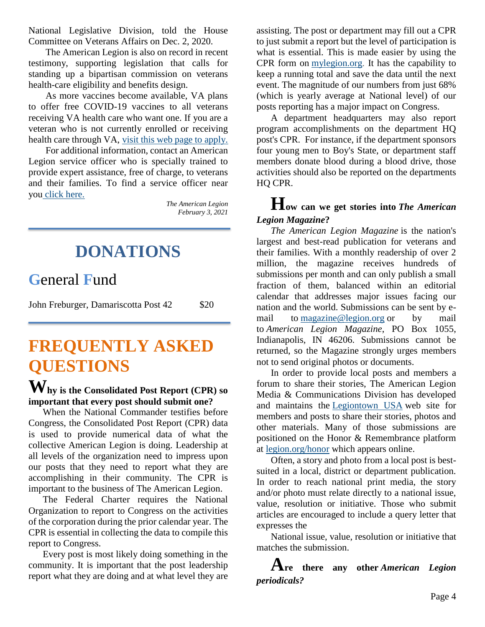National Legislative Division, told the House Committee on Veterans Affairs on Dec. 2, 2020.

The American Legion is also on record in recent testimony, supporting legislation that calls for standing up a bipartisan commission on veterans health-care eligibility and benefits design.

As more vaccines become available, VA plans to offer free COVID-19 vaccines to all veterans receiving VA health care who want one. If you are a veteran who is not currently enrolled or receiving health care through VA, [visit this web page to apply.](https://www.va.gov/health-care/how-to-apply/)

For additional information, contact an American Legion service officer who is specially trained to provide expert assistance, free of charge, to veterans and their families. To find a service officer near you [click here.](https://www.legion.org/serviceofficers)

*The American Legion February 3, 2021*

# **DONATIONS**

## **G**eneral **F**und

John Freburger, Damariscotta Post 42 \$20

# **FREQUENTLY ASKED QUESTIONS**

### **hy is the Consolidated Post Report (CPR) so Wimportant that every post should submit one?**

When the National Commander testifies before Congress, the Consolidated Post Report (CPR) data is used to provide numerical data of what the collective American Legion is doing. Leadership at all levels of the organization need to impress upon our posts that they need to report what they are accomplishing in their community. The CPR is important to the business of The American Legion.

The Federal Charter requires the National Organization to report to Congress on the activities of the corporation during the prior calendar year. The CPR is essential in collecting the data to compile this report to Congress.

Every post is most likely doing something in the community. It is important that the post leadership report what they are doing and at what level they are assisting. The post or department may fill out a CPR to just submit a report but the level of participation is what is essential. This is made easier by using the CPR form on [mylegion.org.](https://www.mylegion.org/) It has the capability to keep a running total and save the data until the next event. The magnitude of our numbers from just 68% (which is yearly average at National level) of our posts reporting has a major impact on Congress.

A department headquarters may also report program accomplishments on the department HQ post's CPR. For instance, if the department sponsors four young men to Boy's State, or department staff members donate blood during a blood drive, those activities should also be reported on the departments HQ CPR.

#### **How can we get stories into** *The American Legion Magazine***?**

*The American Legion Magazine* is the nation's largest and best-read publication for veterans and their families. With a monthly readership of over 2 million, the magazine receives hundreds of submissions per month and can only publish a small fraction of them, balanced within an editorial calendar that addresses major issues facing our nation and the world. Submissions can be sent by email to [magazine@legion.org](mailto:magazine@legion.org) or by mail to *American Legion Magazine*, PO Box 1055, Indianapolis, IN 46206. Submissions cannot be returned, so the Magazine strongly urges members not to send original photos or documents.

In order to provide local posts and members a forum to share their stories, The American Legion Media & Communications Division has developed and maintains the [Legiontown USA](http://www.legiontown.org/) web site for members and posts to share their stories, photos and other materials. Many of those submissions are positioned on the Honor & Remembrance platform at [legion.org/honor](file:///C:/Users/alkmm/Desktop/FAQ/legion.org/honor) which appears online.

Often, a story and photo from a local post is bestsuited in a local, district or department publication. In order to reach national print media, the story and/or photo must relate directly to a national issue, value, resolution or initiative. Those who submit articles are encouraged to include a query letter that expresses the

National issue, value, resolution or initiative that matches the submission.

**Are there any other** *American Legion periodicals?*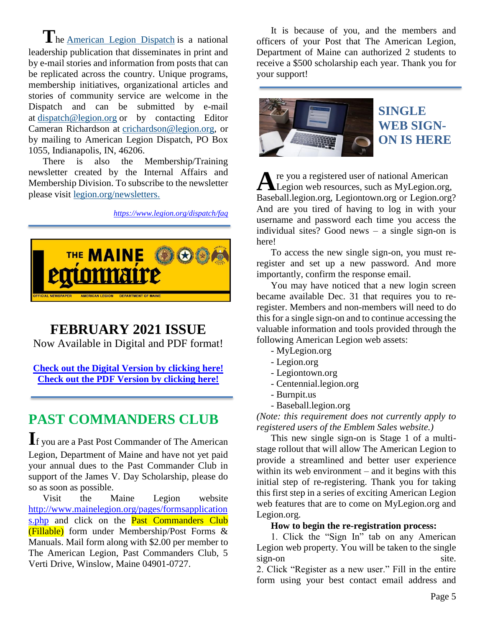**T**he [American Legion Dispatch](https://www.legion.org/dispatch) is a national leadership publication that disseminates in print and by e-mail stories and information from posts that can be replicated across the country. Unique programs, membership initiatives, organizational articles and stories of community service are welcome in the Dispatch and can be submitted by e-mail at [dispatch@legion.org](mailto:dispatch@legion.org) or by contacting Editor Cameran Richardson at [crichardson@legion.org,](mailto:crichardson@legion.org) or by mailing to American Legion Dispatch, PO Box 1055, Indianapolis, IN, 46206.

There is also the Membership/Training newsletter created by the Internal Affairs and Membership Division. To subscribe to the newsletter please visit [legion.org/newsletters.](https://www.legion.org/newsletters/)

*[https://www.legion.org/dispatch/](https://www.legion.org/dispatch)faq*



## **FEBRUARY 2021 ISSUE**

Now Available in Digital and PDF format!

**[Check out the Digital Version by clicking here!](https://indd.adobe.com/view/0629bde6-b050-4157-9c07-bba31de21384) [Check out the PDF Version by clicking here!](http://www.mainelegion.org/media/TML/TML_2021_February_Issue_-_Copy.pdf)**

## **PAST COMMANDERS CLUB**

**I**f you are a Past Post Commander of The American Legion, Department of Maine and have not yet paid your annual dues to the Past Commander Club in support of the James V. Day Scholarship, please do so as soon as possible.

Visit the Maine Legion website [http://www.mainelegion.org/pages/formsapplication](http://www.mainelegion.org/pages/formsapplications.php) [s.php](http://www.mainelegion.org/pages/formsapplications.php) and click on the **Past Commanders Club** (Fillable) form under Membership/Post Forms & Manuals. Mail form along with \$2.00 per member to The American Legion, Past Commanders Club, 5 Verti Drive, Winslow, Maine 04901-0727.

It is because of you, and the members and officers of your Post that The American Legion, Department of Maine can authorized 2 students to receive a \$500 scholarship each year. Thank you for your support!



### **SINGLE WEB SIGN-ON IS HERE**

re you a registered user of national American A re you a registered user of national American<br>Legion web resources, such as MyLegion.org, Baseball.legion.org, Legiontown.org or Legion.org? And are you tired of having to log in with your username and password each time you access the individual sites? Good news – a single sign-on is here!

To access the new single sign-on, you must reregister and set up a new password. And more importantly, confirm the response email.

You may have noticed that a new login screen became available Dec. 31 that requires you to reregister. Members and non-members will need to do this for a single sign-on and to continue accessing the valuable information and tools provided through the following American Legion web assets:

- MyLegion.org
- Legion.org
- Legiontown.org
- Centennial.legion.org
- Burnpit.us
- Baseball.legion.org

*(Note: this requirement does not currently apply to registered users of the Emblem Sales website.)*

This new single sign-on is Stage 1 of a multistage rollout that will allow The American Legion to provide a streamlined and better user experience within its web environment – and it begins with this initial step of re-registering. Thank you for taking this first step in a series of exciting American Legion web features that are to come on MyLegion.org and Legion.org.

#### **How to begin the re-registration process:**

1. Click the "Sign In" tab on any American Legion web property. You will be taken to the single sign-on site.

2. Click "Register as a new user." Fill in the entire form using your best contact email address and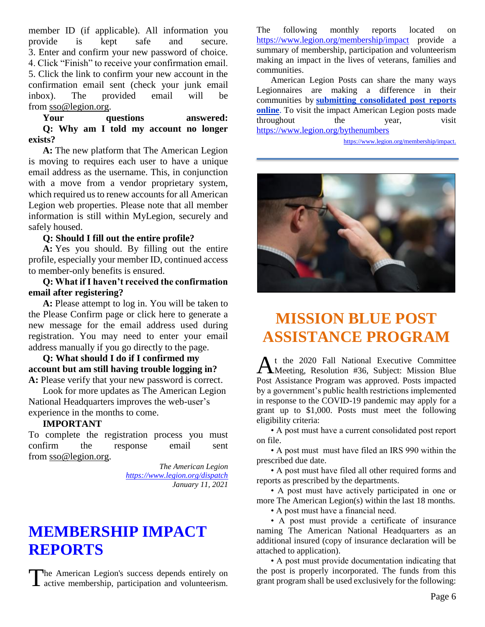member ID (if applicable). All information you provide is kept safe and secure. 3. Enter and confirm your new password of choice. 4. Click "Finish" to receive your confirmation email. 5. Click the link to confirm your new account in the confirmation email sent (check your junk email inbox). The provided email will be from [sso@legion.org.](mailto:sso@legion.org)

#### **Your questions answered: Q: Why am I told my account no longer exists?**

**A:** The new platform that The American Legion is moving to requires each user to have a unique email address as the username. This, in conjunction with a move from a vendor proprietary system, which required us to renew accounts for all American Legion web properties. Please note that all member information is still within MyLegion, securely and safely housed.

#### **Q: Should I fill out the entire profile?**

**A:** Yes you should. By filling out the entire profile, especially your member ID, continued access to member-only benefits is ensured.

**Q: What if I haven't received the confirmation email after registering?**

**A:** Please attempt to log in. You will be taken to the Please Confirm page or click here to generate a new message for the email address used during registration. You may need to enter your email address manually if you go directly to the page.

**Q: What should I do if I confirmed my account but am still having trouble logging in? A:** Please verify that your new password is correct.

Look for more updates as The American Legion National Headquarters improves the web-user's experience in the months to come.

#### **IMPORTANT**

To complete the registration process you must confirm the response email sent from [sso@legion.org.](mailto:sso@legion.org)

> *The American Legion <https://www.legion.org/dispatch> January 11, 2021*

## **[MEMBERSHIP IMPACT](https://www.legion.org/membership/impact)  [REPORTS](https://www.legion.org/membership/impact)**

The American Legion's success depends entirely on The American Legion's success depends entirely on the post is properly incorporated. The funds from this grant program shall be used exclusively for the following:

The following monthly reports located on <https://www.legion.org/membership/impact> provide a summary of membership, participation and volunteerism making an impact in the lives of veterans, families and communities.

American Legion Posts can share the many ways Legionnaires are making a difference in their communities by **[submitting consolidated post reports](http://www.mylegion.org/)  [online](http://www.mylegion.org/)**. To visit the impact American Legion posts made throughout the year, visit <https://www.legion.org/bythenumbers>

[https://www.legion.org/membership/impact.](https://www.legion.org/membership/impact)



## **MISSION BLUE POST ASSISTANCE PROGRAM**

t the 2020 Fall National Executive Committee At the 2020 Fall National Executive Committee<br>Meeting, Resolution #36, Subject: Mission Blue Post Assistance Program was approved. Posts impacted by a government's public health restrictions implemented in response to the COVID-19 pandemic may apply for a grant up to \$1,000. Posts must meet the following eligibility criteria:

• A post must have a current consolidated post report on file.

• A post must must have filed an IRS 990 within the prescribed due date.

• A post must have filed all other required forms and reports as prescribed by the departments.

• A post must have actively participated in one or more The American Legion(s) within the last 18 months.

• A post must have a financial need.

• A post must provide a certificate of insurance naming The American National Headquarters as an additional insured (copy of insurance declaration will be attached to application).

• A post must provide documentation indicating that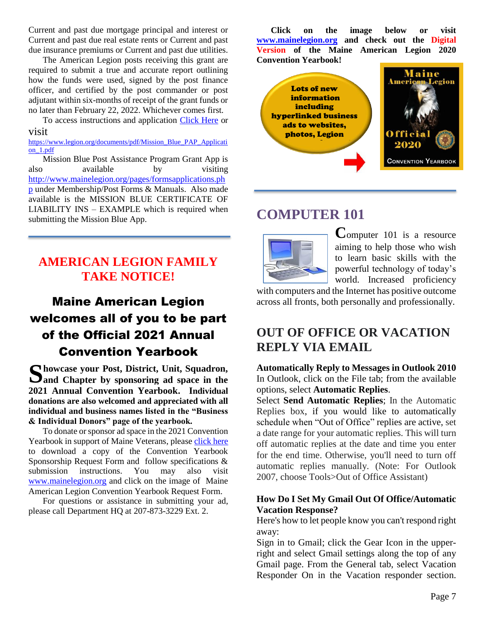Current and past due mortgage principal and interest or Current and past due real estate rents or Current and past due insurance premiums or Current and past due utilities.

The American Legion posts receiving this grant are required to submit a true and accurate report outlining how the funds were used, signed by the post finance officer, and certified by the post commander or post adjutant within six-months of receipt of the grant funds or no later than February 22, 2022. Whichever comes first.

To access instructions and application [Click Here](https://www.legion.org/documents/pdf/Mission_Blue_PAP_Application_1.pdf) or visit

[https://www.legion.org/documents/pdf/Mission\\_Blue\\_PAP\\_Applicati](https://www.legion.org/documents/pdf/Mission_Blue_PAP_Application_1.pdf) [on\\_1.pdf](https://www.legion.org/documents/pdf/Mission_Blue_PAP_Application_1.pdf)

Mission Blue Post Assistance Program Grant App is also available by visiting [http://www.mainelegion.org/pages/formsapplications.ph](http://www.mainelegion.org/pages/formsapplications.php) [p](http://www.mainelegion.org/pages/formsapplications.php) under Membership/Post Forms & Manuals. Also made available is the MISSION BLUE CERTIFICATE OF LIABILITY INS – EXAMPLE which is required when submitting the Mission Blue App.

### **AMERICAN LEGION FAMILY TAKE NOTICE!**

## Maine American Legion welcomes all of you to be part of the Official 2021 Annual Convention Yearbook

Showcase your Post, District, Unit, Squadron, Sand Chapter by sponsoring ad space in the **and Chapter by sponsoring ad space in the 2021 Annual Convention Yearbook. Individual donations are also welcomed and appreciated with all individual and business names listed in the "Business & Individual Donors" page of the yearbook.** 

To donate or sponsor ad space in the 2021 Convention Yearbook in support of Maine Veterans, please [click here](http://www.mainelegion.org/media/YEARBOOK/Maine_AL_Convention_Yearbook_Sponsorship_Req._Form11_FILLABLE.pdf) to download a copy of the Convention Yearbook Sponsorship Request Form and follow specifications & submission instructions. You may also visit [www.mainelegion.org](http://www.mainelegion.org/) and click on the image of Maine American Legion Convention Yearbook Request Form.

For questions or assistance in submitting your ad, please call Department HQ at 207-873-3229 Ext. 2.

**Click on the image below or visit [www.mainelegion.org](http://www.mainelegion.org/) and check out the Digital Version of the Maine American Legion 2020 Convention Yearbook!**



### **COMPUTER 101**



**C**omputer 101 is a resource aiming to help those who wish to learn basic skills with the powerful technology of today's world. Increased proficiency

with computers and the Internet has positive outcome across all fronts, both personally and professionally.

### **OUT OF OFFICE OR VACATION REPLY VIA EMAIL**

#### **Automatically Reply to Messages in Outlook 2010** In Outlook, click on the File tab; from the available options, select **Automatic Replies**.

Select **Send Automatic Replies**; In the Automatic Replies box, if you would like to automatically schedule when "Out of Office" replies are active, set a date range for your automatic replies. This will turn off automatic replies at the date and time you enter for the end time. Otherwise, you'll need to turn off automatic replies manually. (Note: For Outlook 2007, choose Tools>Out of Office Assistant)

#### **[How Do I Set My Gmail Out Of Office/Automatic](http://dmex.com/google-apps-for-work/how-do-i-set-my-gmail-out-of-office-automatic-vacation-response.html)  [Vacation Response?](http://dmex.com/google-apps-for-work/how-do-i-set-my-gmail-out-of-office-automatic-vacation-response.html)**

Here's how to let people know you can't respond right away:

Sign in to Gmail; click the Gear Icon in the upperright and select Gmail settings along the top of any Gmail page. From the General tab, select Vacation Responder On in the Vacation responder section.